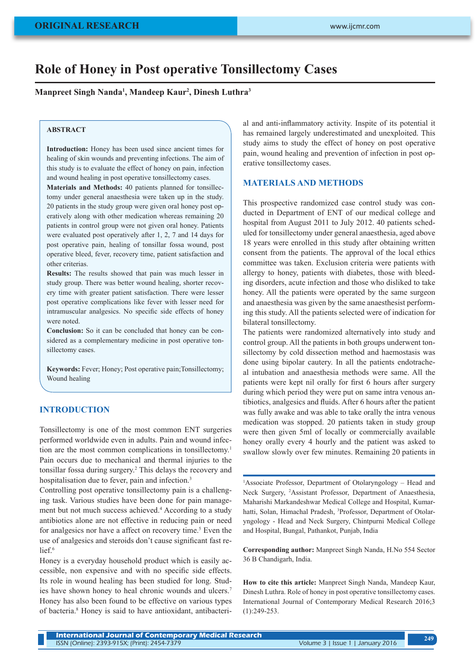# **Role of Honey in Post operative Tonsillectomy Cases**

**Manpreet Singh Nanda1 , Mandeep Kaur2 , Dinesh Luthra3**

#### **ABSTRACT**

**Introduction:** Honey has been used since ancient times for healing of skin wounds and preventing infections. The aim of this study is to evaluate the effect of honey on pain, infection and wound healing in post operative tonsillectomy cases.

**Materials and Methods:** 40 patients planned for tonsillectomy under general anaesthesia were taken up in the study. 20 patients in the study group were given oral honey post operatively along with other medication whereas remaining 20 patients in control group were not given oral honey. Patients were evaluated post operatively after 1, 2, 7 and 14 days for post operative pain, healing of tonsillar fossa wound, post operative bleed, fever, recovery time, patient satisfaction and other criterias.

**Results:** The results showed that pain was much lesser in study group. There was better wound healing, shorter recovery time with greater patient satisfaction. There were lesser post operative complications like fever with lesser need for intramuscular analgesics. No specific side effects of honey were noted.

**Conclusion:** So it can be concluded that honey can be considered as a complementary medicine in post operative tonsillectomy cases.

**Keywords:** Fever; Honey; Post operative pain;Tonsillectomy; Wound healing

#### **INTRODUCTION**

Tonsillectomy is one of the most common ENT surgeries performed worldwide even in adults. Pain and wound infection are the most common complications in tonsillectomy.1 Pain occurs due to mechanical and thermal injuries to the tonsillar fossa during surgery.2 This delays the recovery and hospitalisation due to fever, pain and infection.<sup>3</sup>

Controlling post operative tonsillectomy pain is a challenging task. Various studies have been done for pain management but not much success achieved.<sup>4</sup> According to a study antibiotics alone are not effective in reducing pain or need for analgesics nor have a affect on recovery time.<sup>5</sup> Even the use of analgesics and steroids don't cause significant fast relief. $6$ 

Honey is a everyday household product which is easily accessible, non expensive and with no specific side effects. Its role in wound healing has been studied for long. Studies have shown honey to heal chronic wounds and ulcers.7 Honey has also been found to be effective on various types of bacteria.8 Honey is said to have antioxidant, antibacterial and anti-inflammatory activity. Inspite of its potential it has remained largely underestimated and unexploited. This study aims to study the effect of honey on post operative pain, wound healing and prevention of infection in post operative tonsillectomy cases.

### **MATERIALS AND METHODS**

This prospective randomized case control study was conducted in Department of ENT of our medical college and hospital from August 2011 to July 2012. 40 patients scheduled for tonsillectomy under general anaesthesia, aged above 18 years were enrolled in this study after obtaining written consent from the patients. The approval of the local ethics committee was taken. Exclusion criteria were patients with allergy to honey, patients with diabetes, those with bleeding disorders, acute infection and those who disliked to take honey. All the patients were operated by the same surgeon and anaesthesia was given by the same anaesthesist performing this study. All the patients selected were of indication for bilateral tonsillectomy.

The patients were randomized alternatively into study and control group. All the patients in both groups underwent tonsillectomy by cold dissection method and haemostasis was done using bipolar cautery. In all the patients endotracheal intubation and anaesthesia methods were same. All the patients were kept nil orally for first 6 hours after surgery during which period they were put on same intra venous antibiotics, analgesics and fluids. After 6 hours after the patient was fully awake and was able to take orally the intra venous medication was stopped. 20 patients taken in study group were then given 5ml of locally or commercially available honey orally every 4 hourly and the patient was asked to swallow slowly over few minutes. Remaining 20 patients in

<sup>1</sup>Associate Professor, Department of Otolaryngology – Head and Neck Surgery, 2 Assistant Professor, Department of Anaesthesia, Maharishi Markandeshwar Medical College and Hospital, Kumarhatti, Solan, Himachal Pradesh, <sup>3</sup>Professor, Department of Otolaryngology - Head and Neck Surgery, Chintpurni Medical College and Hospital, Bungal, Pathankot, Punjab, India

**Corresponding author:** Manpreet Singh Nanda, H.No 554 Sector 36 B Chandigarh, India.

**How to cite this article:** Manpreet Singh Nanda, Mandeep Kaur, Dinesh Luthra. Role of honey in post operative tonsillectomy cases. International Journal of Contemporary Medical Research 2016;3 (1):249-253.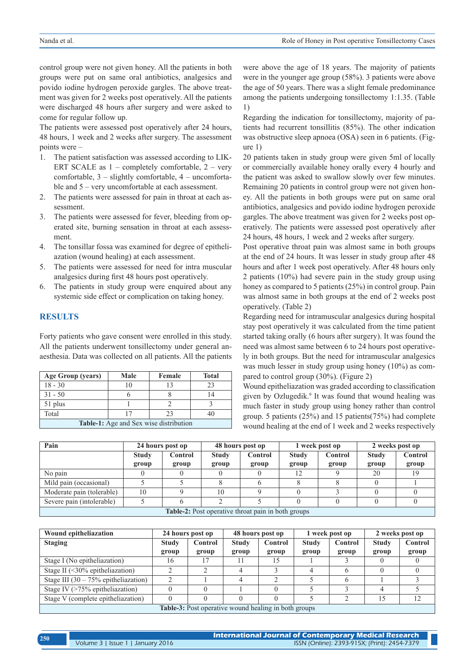control group were not given honey. All the patients in both groups were put on same oral antibiotics, analgesics and povido iodine hydrogen peroxide gargles. The above treatment was given for 2 weeks post operatively. All the patients were discharged 48 hours after surgery and were asked to come for regular follow up.

The patients were assessed post operatively after 24 hours, 48 hours, 1 week and 2 weeks after surgery. The assessment points were –

- 1. The patient satisfaction was assessed according to LIK-ERT SCALE as  $1$  – completely comfortable,  $2$  – very comfortable, 3 – slightly comfortable, 4 – uncomfortable and 5 – very uncomfortable at each assessment.
- 2. The patients were assessed for pain in throat at each assessment.
- 3. The patients were assessed for fever, bleeding from operated site, burning sensation in throat at each assessment.
- 4. The tonsillar fossa was examined for degree of epitheliazation (wound healing) at each assessment.
- 5. The patients were assessed for need for intra muscular analgesics during first 48 hours post operatively.
- 6. The patients in study group were enquired about any systemic side effect or complication on taking honey.

### **RESULTS**

Forty patients who gave consent were enrolled in this study. All the patients underwent tonsillectomy under general anaesthesia. Data was collected on all patients. All the patients

| Age Group (years)                             | Male | Female | Total |  |  |  |
|-----------------------------------------------|------|--------|-------|--|--|--|
| $18 - 30$                                     | 10   |        | 23    |  |  |  |
| $31 - 50$                                     |      |        |       |  |  |  |
| 51 plus                                       |      |        |       |  |  |  |
| Total                                         |      | 23     |       |  |  |  |
| <b>Table-1:</b> Age and Sex wise distribution |      |        |       |  |  |  |

were above the age of 18 years. The majority of patients were in the younger age group (58%). 3 patients were above the age of 50 years. There was a slight female predominance among the patients undergoing tonsillectomy 1:1.35. (Table 1)

Regarding the indication for tonsillectomy, majority of patients had recurrent tonsillitis (85%). The other indication was obstructive sleep apnoea (OSA) seen in 6 patients. (Figure 1)

20 patients taken in study group were given 5ml of locally or commercially available honey orally every 4 hourly and the patient was asked to swallow slowly over few minutes. Remaining 20 patients in control group were not given honey. All the patients in both groups were put on same oral antibiotics, analgesics and povido iodine hydrogen peroxide gargles. The above treatment was given for 2 weeks post operatively. The patients were assessed post operatively after 24 hours, 48 hours, 1 week and 2 weeks after surgery.

Post operative throat pain was almost same in both groups at the end of 24 hours. It was lesser in study group after 48 hours and after 1 week post operatively. After 48 hours only 2 patients (10%) had severe pain in the study group using honey as compared to 5 patients (25%) in control group. Pain was almost same in both groups at the end of 2 weeks post operatively. (Table 2)

Regarding need for intramuscular analgesics during hospital stay post operatively it was calculated from the time patient started taking orally (6 hours after surgery). It was found the need was almost same between 6 to 24 hours post operatively in both groups. But the need for intramuscular analgesics was much lesser in study group using honey (10%) as compared to control group (30%). (Figure 2)

Wound epitheliazation was graded according to classification given by Ozlugedik.<sup>9</sup> It was found that wound healing was much faster in study group using honey rather than control group. 5 patients (25%) and 15 patients(75%) had complete wound healing at the end of 1 week and 2 weeks respectively

| Pain                                                      | 24 hours post op |                | 48 hours post op |         | 1 week post op |         | 2 weeks post op |                |
|-----------------------------------------------------------|------------------|----------------|------------------|---------|----------------|---------|-----------------|----------------|
|                                                           | <b>Study</b>     | <b>Control</b> | <b>Study</b>     | Control | <b>Study</b>   | Control | <b>Study</b>    | <b>Control</b> |
|                                                           | group            | group          | group            | group   | group          | group   | group           | group          |
| No pain                                                   |                  |                |                  |         | ∣າ             |         | 20              |                |
| Mild pain (occasional)                                    |                  |                |                  |         |                |         |                 |                |
| Moderate pain (tolerable)                                 | 10               |                | 10               |         |                |         |                 |                |
| Severe pain (intolerable)                                 |                  |                |                  |         |                |         |                 |                |
| <b>Table-2:</b> Post operative throat pain in both groups |                  |                |                  |         |                |         |                 |                |

| Wound epitheliazation                                       | 24 hours post op |         | 48 hours post op |         | 1 week post op |         | 2 weeks post op |         |
|-------------------------------------------------------------|------------------|---------|------------------|---------|----------------|---------|-----------------|---------|
| <b>Staging</b>                                              | <b>Study</b>     | Control | <b>Study</b>     | Control | <b>Study</b>   | Control | <b>Study</b>    | Control |
|                                                             | group            | group   | group            | group   | group          | group   | group           | group   |
| Stage I (No epitheliazation)                                | 16               |         |                  | 15      |                |         |                 |         |
| Stage II $(\leq 30\%$ epitheliazation)                      |                  |         |                  |         |                |         |                 |         |
| Stage III $(30 - 75\%$ epitheliazation)                     |                  |         |                  |         |                |         |                 |         |
| Stage IV $($ >75% epitheliazation)                          |                  |         |                  |         |                |         |                 |         |
| Stage V (complete epitheliazation)                          |                  |         |                  |         |                |         | 15              | 12      |
| <b>Table-3:</b> Post operative wound healing in both groups |                  |         |                  |         |                |         |                 |         |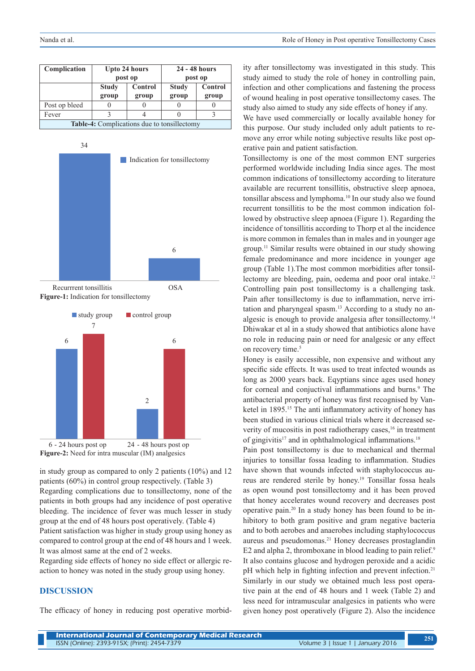| Complication                                |                         | <b>Upto 24 hours</b> | 24 - 48 hours |         |  |  |  |
|---------------------------------------------|-------------------------|----------------------|---------------|---------|--|--|--|
|                                             |                         | post op              | post op       |         |  |  |  |
|                                             | <b>Study</b><br>Control |                      | <b>Study</b>  | Control |  |  |  |
|                                             | group                   | group                | group         | group   |  |  |  |
| Post op bleed                               |                         |                      |               |         |  |  |  |
| Fever                                       |                         |                      |               |         |  |  |  |
| Table-4: Complications due to tonsillectomy |                         |                      |               |         |  |  |  |



**Figure-1:** Indication for tonsillectomy





in study group as compared to only 2 patients (10%) and 12 patients (60%) in control group respectively. (Table 3) Regarding complications due to tonsillectomy, none of the patients in both groups had any incidence of post operative bleeding. The incidence of fever was much lesser in study group at the end of 48 hours post operatively. (Table 4) Patient satisfaction was higher in study group using honey as compared to control group at the end of 48 hours and 1 week. It was almost same at the end of 2 weeks.

Regarding side effects of honey no side effect or allergic reaction to honey was noted in the study group using honey.

### **DISCUSSION**

The efficacy of honey in reducing post operative morbid-

ity after tonsillectomy was investigated in this study. This study aimed to study the role of honey in controlling pain, infection and other complications and fastening the process of wound healing in post operative tonsillectomy cases. The study also aimed to study any side effects of honey if any.

We have used commercially or locally available honey for this purpose. Our study included only adult patients to remove any error while noting subjective results like post operative pain and patient satisfaction.

Tonsillectomy is one of the most common ENT surgeries performed worldwide including India since ages. The most common indications of tonsillectomy according to literature available are recurrent tonsillitis, obstructive sleep apnoea, tonsillar abscess and lymphoma.10 In our study also we found recurrent tonsillitis to be the most common indication followed by obstructive sleep apnoea (Figure 1). Regarding the incidence of tonsillitis according to Thorp et al the incidence is more common in females than in males and in younger age group.11 Similar results were obtained in our study showing female predominance and more incidence in younger age group (Table 1).The most common morbidities after tonsillectomy are bleeding, pain, oedema and poor oral intake.<sup>12</sup> Controlling pain post tonsillectomy is a challenging task. Pain after tonsillectomy is due to inflammation, nerve irritation and pharyngeal spasm.13 According to a study no analgesic is enough to provide analgesia after tonsillectomy.14 Dhiwakar et al in a study showed that antibiotics alone have no role in reducing pain or need for analgesic or any effect on recovery time.<sup>5</sup>

Honey is easily accessible, non expensive and without any specific side effects. It was used to treat infected wounds as long as 2000 years back. Eqyptians since ages used honey for corneal and conjuctival inflammations and burns.<sup>9</sup> The antibacterial property of honey was first recognised by Vanketel in 1895.<sup>15</sup> The anti inflammatory activity of honey has been studied in various clinical trials where it decreased severity of mucositis in post radiotherapy cases,<sup>16</sup> in treatment of gingivitis<sup>17</sup> and in ophthalmological inflammations.<sup>18</sup>

Pain post tonsillectomy is due to mechanical and thermal injuries to tonsillar fossa leading to inflammation. Studies have shown that wounds infected with staphylococcus aureus are rendered sterile by honey.19 Tonsillar fossa heals as open wound post tonsillectomy and it has been proved that honey accelerates wound recovery and decreases post operative pain.20 In a study honey has been found to be inhibitory to both gram positive and gram negative bacteria and to both aerobes and anaerobes including staphylococcus aureus and pseudomonas.21 Honey decreases prostaglandin E2 and alpha 2, thromboxane in blood leading to pain relief.<sup>9</sup> It also contains glucose and hydrogen peroxide and a acidic pH which help in fighting infection and prevent infection.<sup>21</sup> Similarly in our study we obtained much less post operative pain at the end of 48 hours and 1 week (Table 2) and less need for intramuscular analgesics in patients who were given honey post operatively (Figure 2). Also the incidence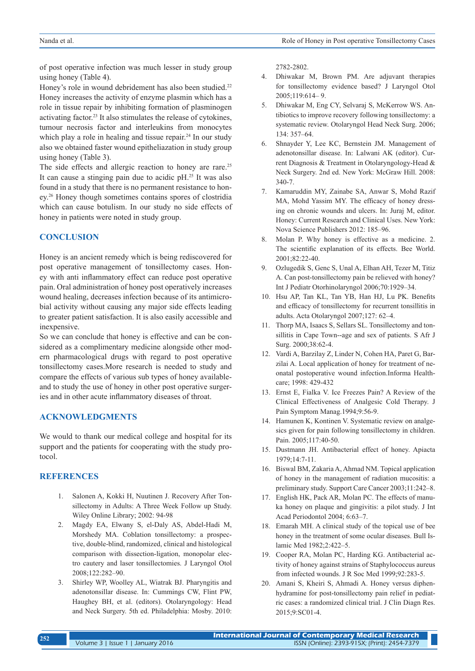of post operative infection was much lesser in study group using honey (Table 4).

Honey's role in wound debridement has also been studied.<sup>22</sup> Honey increases the activity of enzyme plasmin which has a role in tissue repair by inhibiting formation of plasminogen activating factor.23 It also stimulates the release of cytokines, tumour necrosis factor and interleukins from monocytes which play a role in healing and tissue repair.<sup>24</sup> In our study also we obtained faster wound epitheliazation in study group using honey (Table 3).

The side effects and allergic reaction to honey are rare.<sup>25</sup> It can cause a stinging pain due to acidic  $pH<sup>25</sup>$  It was also found in a study that there is no permanent resistance to honey.26 Honey though sometimes contains spores of clostridia which can cause botulism. In our study no side effects of honey in patients were noted in study group.

## **CONCLUSION**

Honey is an ancient remedy which is being rediscovered for post operative management of tonsillectomy cases. Honey with anti inflammatory effect can reduce post operative pain. Oral administration of honey post operatively increases wound healing, decreases infection because of its antimicrobial activity without causing any major side effects leading to greater patient satisfaction. It is also easily accessible and inexpensive.

So we can conclude that honey is effective and can be considered as a complimentary medicine alongside other modern pharmacological drugs with regard to post operative tonsillectomy cases.More research is needed to study and compare the effects of various sub types of honey availableand to study the use of honey in other post operative surgeries and in other acute inflammatory diseases of throat.

## **ACKNOWLEDGMENTS**

We would to thank our medical college and hospital for its support and the patients for cooperating with the study protocol.

## **REFERENCES**

- 1. Salonen A, Kokki H, Nuutinen J. Recovery After Tonsillectomy in Adults: A Three Week Follow up Study. Wiley Online Library; 2002: 94-98
- 2. Magdy EA, Elwany S, el-Daly AS, Abdel-Hadi M, Morshedy MA. Coblation tonsillectomy: a prospective, double-blind, randomized, clinical and histological comparison with dissection-ligation, monopolar electro cautery and laser tonsillectomies. J Laryngol Otol 2008;122:282–90.
- 3. Shirley WP, Woolley AL, Wiatrak BJ. Pharyngitis and adenotonsillar disease. In: Cummings CW, Flint PW, Haughey BH, et al. (editors). Otolaryngology: Head and Neck Surgery. 5th ed. Philadelphia: Mosby. 2010:

2782-2802.

- 4. Dhiwakar M, Brown PM. Are adjuvant therapies for tonsillectomy evidence based? J Laryngol Otol 2005;119:614– 9.
- 5. Dhiwakar M, Eng CY, Selvaraj S, McKerrow WS. Antibiotics to improve recovery following tonsillectomy: a systematic review. Otolaryngol Head Neck Surg. 2006; 134: 357–64.
- 6. Shnayder Y, Lee KC, Bernstein JM. Management of adenotonsillar disease. In: Lalwani AK (editor). Current Diagnosis & Treatment in Otolaryngology-Head & Neck Surgery. 2nd ed. New York: McGraw Hill. 2008: 340-7.
- 7. Kamaruddin MY, Zainabe SA, Anwar S, Mohd Razif MA, Mohd Yassim MY. The efficacy of honey dressing on chronic wounds and ulcers. In: Juraj M, editor. Honey: Current Research and Clinical Uses. New York: Nova Science Publishers 2012: 185–96.
- 8. Molan P. Why honey is effective as a medicine. 2. The scientific explanation of its effects. Bee World. 2001;82:22-40.
- 9. Ozlugedik S, Genc S, Unal A, Elhan AH, Tezer M, Titiz A. Can post-tonsillectomy pain be relieved with honey? Int J Pediatr Otorhinolaryngol 2006;70:1929–34.
- 10. Hsu AP, Tan KL, Tan YB, Han HJ, Lu PK. Benefits and efficacy of tonsillectomy for recurrent tonsillitis in adults. Acta Otolaryngol 2007;127: 62–4.
- 11. Thorp MA, Isaacs S, Sellars SL. Tonsillectomy and tonsillitis in Cape Town--age and sex of patients. S Afr J Surg. 2000;38:62-4.
- 12. Vardi A, Barzilay Z, Linder N, Cohen HA, Paret G, Barzilai A. Local application of honey for treatment of neonatal postoperative wound infection.Informa Healthcare; 1998: 429-432
- 13. Ernst E, Fialka V. Ice Freezes Pain? A Review of the Clinical Effectiveness of Analgesic Cold Therapy. J Pain Symptom Manag.1994;9:56-9.
- 14. Hamunen K, Kontinen V. Systematic review on analgesics given for pain following tonsillectomy in children. Pain. 2005;117:40-50.
- 15. Dustmann JH. Antibacterial effect of honey. Apiacta 1979;14:7-11.
- 16. Biswal BM, Zakaria A, Ahmad NM. Topical application of honey in the management of radiation mucositis: a preliminary study. Support Care Cancer 2003;11:242–8.
- 17. English HK, Pack AR, Molan PC. The effects of manuka honey on plaque and gingivitis: a pilot study. J Int Acad Periodontol 2004; 6:63–7.
- 18. Emarah MH. A clinical study of the topical use of bee honey in the treatment of some ocular diseases. Bull Islamic Med 1982;2:422–5.
- 19. Cooper RA, Molan PC, Harding KG. Antibacterial activity of honey against strains of Staphylococcus aureus from infected wounds. J R Soc Med 1999;92:283-5.
- 20. Amani S, Kheiri S, Ahmadi A. Honey versus diphenhydramine for post-tonsillectomy pain relief in pediatric cases: a randomized clinical trial. J Clin Diagn Res. 2015;9:SC01-4.